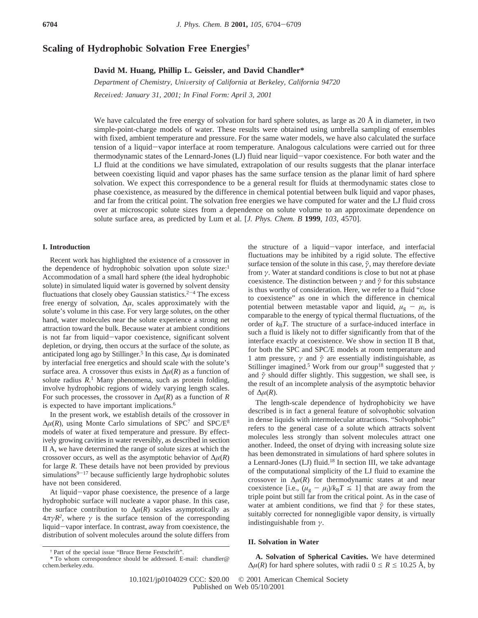# **Scaling of Hydrophobic Solvation Free Energies†**

## **David M. Huang, Phillip L. Geissler, and David Chandler\***

*Department of Chemistry, Uni*V*ersity of California at Berkeley, California 94720 Recei*V*ed: January 31, 2001; In Final Form: April 3, 2001*

We have calculated the free energy of solvation for hard sphere solutes, as large as  $20 \text{ Å}$  in diameter, in two simple-point-charge models of water. These results were obtained using umbrella sampling of ensembles with fixed, ambient temperature and pressure. For the same water models, we have also calculated the surface tension of a liquid-vapor interface at room temperature. Analogous calculations were carried out for three thermodynamic states of the Lennard-Jones (LJ) fluid near liquid-vapor coexistence. For both water and the LJ fluid at the conditions we have simulated, extrapolation of our results suggests that the planar interface between coexisting liquid and vapor phases has the same surface tension as the planar limit of hard sphere solvation. We expect this correspondence to be a general result for fluids at thermodynamic states close to phase coexistence, as measured by the difference in chemical potential between bulk liquid and vapor phases, and far from the critical point. The solvation free energies we have computed for water and the LJ fluid cross over at microscopic solute sizes from a dependence on solute volume to an approximate dependence on solute surface area, as predicted by Lum et al. [*J. Phys. Chem. B* **1999**, *103*, 4570].

### **I. Introduction**

Recent work has highlighted the existence of a crossover in the dependence of hydrophobic solvation upon solute size:<sup>1</sup> Accommodation of a small hard sphere (the ideal hydrophobic solute) in simulated liquid water is governed by solvent density fluctuations that closely obey Gaussian statistics.<sup>2-4</sup> The excess free energy of solvation, ∆*µ*, scales approximately with the solute's volume in this case. For very large solutes, on the other hand, water molecules near the solute experience a strong net attraction toward the bulk. Because water at ambient conditions is not far from liquid-vapor coexistence, significant solvent depletion, or drying, then occurs at the surface of the solute, as anticipated long ago by Stillinger.5 In this case, ∆*µ* is dominated by interfacial free energetics and should scale with the solute's surface area. A crossover thus exists in  $\Delta \mu(R)$  as a function of solute radius  $R<sup>1</sup>$  Many phenomena, such as protein folding, involve hydrophobic regions of widely varying length scales. For such processes, the crossover in  $\Delta \mu(R)$  as a function of *R* is expected to have important implications.<sup>6</sup>

In the present work, we establish details of the crossover in  $\Delta \mu(R)$ , using Monte Carlo simulations of SPC<sup>7</sup> and SPC/E<sup>8</sup> models of water at fixed temperature and pressure. By effectively growing cavities in water reversibly, as described in section II A, we have determined the range of solute sizes at which the crossover occurs, as well as the asymptotic behavior of  $\Delta \mu(R)$ for large *R*. These details have not been provided by previous simulations $9-17$  because sufficiently large hydrophobic solutes have not been considered.

At liquid-vapor phase coexistence, the presence of a large hydrophobic surface will nucleate a vapor phase. In this case, the surface contribution to  $\Delta \mu(R)$  scales asymptotically as  $4\pi\gamma R^2$ , where  $\gamma$  is the surface tension of the corresponding liquid-vapor interface. In contrast, away from coexistence, the distribution of solvent molecules around the solute differs from

the structure of a liquid-vapor interface, and interfacial fluctuations may be inhibited by a rigid solute. The effective surface tension of the solute in this case,  $\tilde{\gamma}$ , may therefore deviate from *γ*. Water at standard conditions is close to but not at phase coexistence. The distinction between *γ* and *γ*˜ for this substance is thus worthy of consideration. Here, we refer to a fluid "close to coexistence" as one in which the difference in chemical potential between metastable vapor and liquid,  $\mu_{g} - \mu_{l}$ , is comparable to the energy of typical thermal fluctuations, of the order of  $k_B T$ . The structure of a surface-induced interface in such a fluid is likely not to differ significantly from that of the interface exactly at coexistence. We show in section II B that, for both the SPC and SPC/E models at room temperature and 1 atm pressure, *γ* and *γ*˜ are essentially indistinguishable, as Stillinger imagined.5 Work from our group18 suggested that *γ* and  $\tilde{\gamma}$  should differ slightly. This suggestion, we shall see, is the result of an incomplete analysis of the asymptotic behavior of  $\Delta \mu(R)$ .

The length-scale dependence of hydrophobicity we have described is in fact a general feature of solvophobic solvation in dense liquids with intermolecular attractions. "Solvophobic" refers to the general case of a solute which attracts solvent molecules less strongly than solvent molecules attract one another. Indeed, the onset of drying with increasing solute size has been demonstrated in simulations of hard sphere solutes in a Lennard-Jones (LJ) fluid.18 In section III, we take advantage of the computational simplicity of the LJ fluid to examine the crossover in  $\Delta \mu(R)$  for thermodynamic states at and near coexistence [i.e.,  $(\mu_{g} - \mu_{l})/k_{B}T \le 1$ ] that are away from the triple point but still far from the critical point. As in the case of water at ambient conditions, we find that  $\tilde{\gamma}$  for these states, suitably corrected for nonnegligible vapor density, is virtually indistinguishable from *γ*.

## **II. Solvation in Water**

**A. Solvation of Spherical Cavities.** We have determined  $\Delta \mu(R)$  for hard sphere solutes, with radii  $0 \le R \le 10.25$  Å, by

<sup>†</sup> Part of the special issue "Bruce Berne Festschrift".

<sup>\*</sup> To whom correspondence should be addressed. E-mail: chandler@ cchem.berkeley.edu.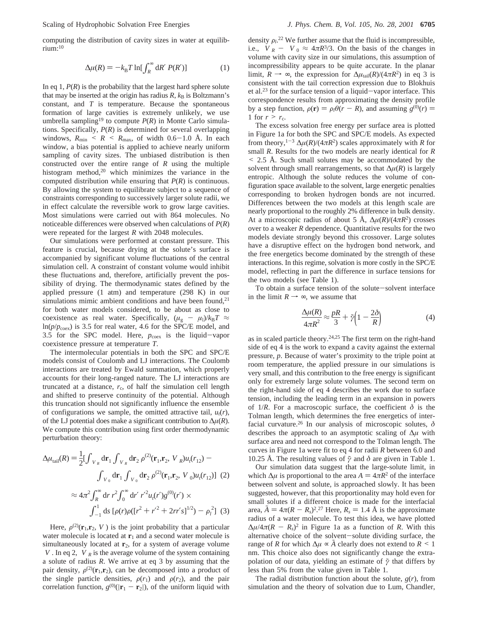computing the distribution of cavity sizes in water at equilibrium:10

$$
\Delta \mu(R) = -k_{\rm B} T \ln[\int_R^{\infty} dR' P(R')]
$$
 (1)

In eq 1,  $P(R)$  is the probability that the largest hard sphere solute that may be inserted at the origin has radius  $R$ ,  $k_B$  is Boltzmann's constant, and *T* is temperature. Because the spontaneous formation of large cavities is extremely unlikely, we use umbrella sampling<sup>19</sup> to compute  $P(R)$  in Monte Carlo simulations. Specifically, *P*(*R*) is determined for several overlapping windows,  $R_{\text{min}} \leq R \leq R_{\text{max}}$ , of width 0.6–1.0 Å. In each window, a bias potential is applied to achieve nearly uniform sampling of cavity sizes. The unbiased distribution is then constructed over the entire range of *R* using the multiple histogram method,<sup>20</sup> which minimizes the variance in the computed distribution while ensuring that *P*(*R*) is continuous. By allowing the system to equilibrate subject to a sequence of constraints corresponding to successively larger solute radii, we in effect calculate the reversible work to grow large cavities. Most simulations were carried out with 864 molecules. No noticeable differences were observed when calculations of *P*(*R*) were repeated for the largest *R* with 2048 molecules.

Our simulations were performed at constant pressure. This feature is crucial, because drying at the solute's surface is accompanied by significant volume fluctuations of the central simulation cell. A constraint of constant volume would inhibit these fluctuations and, therefore, artificially prevent the possibility of drying. The thermodynamic states defined by the applied pressure (1 atm) and temperature (298 K) in our simulations mimic ambient conditions and have been found, $21$ for both water models considered, to be about as close to coexistence as real water. Specifically,  $(\mu_{g} - \mu_{l})/k_{B}T \approx$  $ln(p/p<sub>coex</sub>)$  is 3.5 for real water, 4.6 for the SPC/E model, and 3.5 for the SPC model. Here,  $p_{\text{coex}}$  is the liquid-vapor coexistence pressure at temperature *T*.

The intermolecular potentials in both the SPC and SPC/E models consist of Coulomb and LJ interactions. The Coulomb interactions are treated by Ewald summation, which properly accounts for their long-ranged nature. The LJ interactions are truncated at a distance,  $r_c$ , of half the simulation cell length and shifted to preserve continuity of the potential. Although this truncation should not significantly influence the ensemble of configurations we sample, the omitted attractive tail,  $u_t(r)$ , of the LJ potential does make a significant contribution to ∆*µ*(*R*). We compute this contribution using first order thermodynamic perturbation theory:

$$
\Delta \mu_{\text{tail}}(R) = \frac{1}{2} [\int_{\langle V \rangle_R} d\mathbf{r}_1 \int_{\langle V \rangle_R} d\mathbf{r}_2 \, \rho^{(2)}(\mathbf{r}_1, \mathbf{r}_2, \langle V \rangle_R) u_i(r_{12}) -
$$

$$
\int_{\langle V \rangle_0} d\mathbf{r}_1 \int_{\langle V \rangle_0} d\mathbf{r}_2 \, \rho^{(2)}(\mathbf{r}_1, \mathbf{r}_2, \langle V \rangle_0) u_i(r_{12})] \tag{2}
$$

$$
\approx 4\pi^2 \int_R^{\infty} d\mathbf{r} \, r^2 \int_0^{\infty} d\mathbf{r}' \, r'^2 u_i(r') g^{(0)}(r') \times
$$

$$
\int_{-1}^1 ds \, [\rho(r)\rho([\mathbf{r}^2 + \mathbf{r}'^2 + 2\mathbf{r}\mathbf{r}'s]^{1/2}) - \rho_i^2] \tag{3}
$$

Here,  $\rho^{(2)}(\mathbf{r}_1,\mathbf{r}_2,\langle V\rangle)$  is the joint probability that a particular water molecule is located at  $\mathbf{r}_1$  and a second water molecule is simultaneously located at  $r_2$ , for a system of average volume  $\langle V \rangle$ . In eq 2,  $\langle V \rangle_R$  is the average volume of the system containing a solute of radius *R*. We arrive at eq 3 by assuming that the pair density,  $\rho^{(2)}(\mathbf{r}_1, \mathbf{r}_2)$ , can be decomposed into a product of the single particle densities,  $\rho(r_1)$  and  $\rho(r_2)$ , and the pair correlation function,  $g^{(0)}(|\mathbf{r}_1 - \mathbf{r}_2|)$ , of the uniform liquid with

density  $\rho_l$ .<sup>22</sup> We further assume that the fluid is incompressible,<br>i.e.  $\langle V \rangle$ <sub>0</sub>  $\sim \langle V \rangle$ <sub>0</sub>  $\approx \frac{4\pi R^3}{3}$ . On the basis of the changes in i.e.,  $\langle V \rangle_R$  -  $\langle V \rangle_0 \approx 4 \pi R^3/3$ . On the basis of the changes in volume with cavity size in our simulations, this assumption of incompressibility appears to be quite accurate. In the planar limit,  $R \rightarrow \infty$ , the expression for  $\Delta \mu_{tail}(R)/(4 \pi R^2)$  in eq 3 is consistent with the tail correction expression due to Blokhuis et al.23 for the surface tension of a liquid-vapor interface. This correspondence results from approximating the density profile by a step function,  $\rho(\mathbf{r}) = \rho_l \theta(r - R)$ , and assuming  $g^{(0)}(r) =$ 1 for  $r > r_c$ .

The excess solvation free energy per surface area is plotted in Figure 1a for both the SPC and SPC/E models. As expected from theory,<sup>1-3</sup>  $\Delta \mu(R)/(4\pi R^2)$  scales approximately with *R* for small *R*. Results for the two models are nearly identical for *R* < 2.5 Å. Such small solutes may be accommodated by the solvent through small rearrangements, so that  $\Delta \mu(R)$  is largely entropic. Although the solute reduces the volume of configuration space available to the solvent, large energetic penalties corresponding to broken hydrogen bonds are not incurred. Differences between the two models at this length scale are nearly proportional to the roughly 2% difference in bulk density. At a microscopic radius of about 5 Å,  $\Delta \mu(R)/(4\pi R^2)$  crosses over to a weaker *R* dependence. Quantitative results for the two models deviate strongly beyond this crossover. Large solutes have a disruptive effect on the hydrogen bond network, and the free energetics become dominated by the strength of these interactions. In this regime, solvation is more costly in the SPC/E model, reflecting in part the difference in surface tensions for the two models (see Table 1).

To obtain a surface tension of the solute-solvent interface in the limit  $R \rightarrow \infty$ , we assume that

$$
\frac{\Delta \mu(R)}{4\pi R^2} \approx \frac{pR}{3} + \tilde{\gamma} \left( 1 - \frac{2\delta}{R} \right) \tag{4}
$$

as in scaled particle theory.24,25 The first term on the right-hand side of eq 4 is the work to expand a cavity against the external pressure, *p*. Because of water's proximity to the triple point at room temperature, the applied pressure in our simulations is very small, and this contribution to the free energy is significant only for extremely large solute volumes. The second term on the right-hand side of eq 4 describes the work due to surface tension, including the leading term in an expansion in powers of  $1/R$ . For a macroscopic surface, the coefficient  $\delta$  is the Tolman length, which determines the free energetics of interfacial curvature.26 In our analysis of microscopic solutes, *δ* describes the approach to an asymptotic scaling of ∆*µ* with surface area and need not correspond to the Tolman length. The curves in Figure 1a were fit to eq 4 for radii *R* between 6.0 and 10.25 Å. The resulting values of  $\tilde{\gamma}$  and  $\delta$  are given in Table 1.

Our simulation data suggest that the large-solute limit, in which  $\Delta \mu$  is proportional to the area  $A = 4\pi R^2$  of the interface between solvent and solute, is approached slowly. It has been suggested, however, that this proportionality may hold even for small solutes if a different choice is made for the interfacial area,  $\tilde{A} = 4\pi (R - R_s)^2$ .<sup>27</sup> Here,  $R_s = 1.4$  Å is the approximate radius of a water molecule. To test this idea, we have plotted radius of a water molecule. To test this idea, we have plotted  $\Delta \mu / 4 \pi (R - R_s)^2$  in Figure 1a as a function of *R*. With this alternative choice of the solvent-solute dividing surface, the range of *R* for which  $\Delta \mu \propto \tilde{A}$  clearly does not extend to  $R \leq 1$ nm. This choice also does not significantly change the extrapolation of our data, yielding an estimate of *γ*˜ that differs by less than 5% from the value given in Table 1.

The radial distribution function about the solute,  $g(r)$ , from simulation and the theory of solvation due to Lum, Chandler,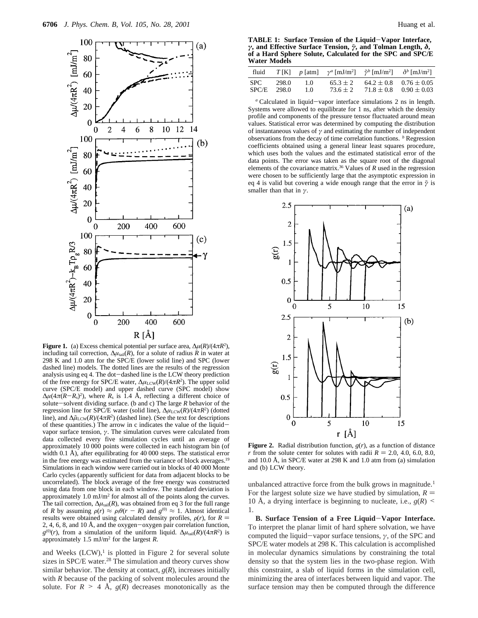

**Figure 1.** (a) Excess chemical potential per surface area,  $\Delta \mu(R)/(4\pi R^2)$ , including tail correction,  $\Delta \mu_{\text{tail}}(R)$ , for a solute of radius *R* in water at 298 K and 1.0 atm for the SPC/E (lower solid line) and SPC (lower dashed line) models. The dotted lines are the results of the regression analysis using eq 4. The dot-dashed line is the LCW theory prediction of the free energy for SPC/E water,  $\Delta \mu_{\text{LCW}}(R)/(4\pi R^2)$ . The upper solid curve (SPC/E model) and upper dashed curve (SPC model) show  $\Delta \mu (4\pi (R - R_s)^2)$ , where  $R_s$  is 1.4 Å, reflecting a different choice of solute—solvent dividing surface. (b and c) The large R behavior of the solute-solvent dividing surface. (b and c) The large *<sup>R</sup>* behavior of the regression line for SPC/E water (solid line),  $Δμ$ <sub>LCW</sub>(*R*)/(4*πR*<sup>2</sup>) (dotted line), and Δ $\tilde{\mu}_{LCW}(R)/(4\pi R^2)$  (dashed line). (See the text for descriptions of these quantities.) The arrow in c indicates the value of the liquidvapor surface tension, *γ*. The simulation curves were calculated from data collected every five simulation cycles until an average of approximately 10 000 points were collected in each histogram bin (of width 0.1 Å), after equilibrating for 40 000 steps. The statistical error in the free energy was estimated from the variance of block averages.<sup>19</sup> Simulations in each window were carried out in blocks of 40 000 Monte Carlo cycles (apparently sufficient for data from adjacent blocks to be uncorrelated). The block average of the free energy was constructed using data from one block in each window. The standard deviation is approximately 1.0 mJ/m2 for almost all of the points along the curves. The tail correction,  $\Delta \mu_{\text{tail}}(R)$ , was obtained from eq 3 for the full range of *R* by assuming  $\rho(r) \approx \rho_1 \theta(r - R)$  and  $g^{(0)} \approx 1$ . Almost identical results were obtained using calculated density profiles,  $\rho(r)$ , for  $R =$ 2, 4, 6, 8, and 10 Å, and the oxygen-oxygen pair correlation function,  $g^{(0)}(r)$ , from a simulation of the uniform liquid.  $\Delta \mu_{\text{tail}}(R)/(4\pi R^2)$  is approximately 1.5 mJ/m2 for the largest *R*.

and Weeks  $(LCW)$ ,<sup>1</sup> is plotted in Figure 2 for several solute sizes in SPC/E water.<sup>28</sup> The simulation and theory curves show similar behavior. The density at contact,  $g(R)$ , increases initially with *R* because of the packing of solvent molecules around the solute. For  $R > 4$  Å,  $g(R)$  decreases monotonically as the

**TABLE 1: Surface Tension of the Liquid**-**Vapor Interface,** *γ***, and Effective Surface Tension,** *γ*˜**, and Tolman Length,** *δ***, of a Hard Sphere Solute, Calculated for the SPC and SPC/E Water Models**

| fluid          |                |            | $T[K]$ p [atm] $\gamma^a$ [mJ/m <sup>2</sup> ] $\tilde{\gamma}^b$ [mJ/m <sup>2</sup> ] $\delta^b$ [mJ/m <sup>2</sup> ] |                |                                                   |
|----------------|----------------|------------|------------------------------------------------------------------------------------------------------------------------|----------------|---------------------------------------------------|
| SPC -<br>SPC/E | 298.0<br>298.0 | 1.0<br>1.0 | $65.3 \pm 2$<br>$73.6 \pm 2$                                                                                           | $71.8 \pm 0.8$ | $64.2 \pm 0.8$ $0.76 \pm 0.05$<br>$0.90 \pm 0.03$ |

*<sup>a</sup>* Calculated in liquid-vapor interface simulations 2 ns in length. Systems were allowed to equilibrate for 1 ns, after which the density profile and components of the pressure tensor fluctuated around mean values. Statistical error was determined by computing the distribution of instantaneous values of  $\gamma$  and estimating the number of independent observations from the decay of time correlation functions. *<sup>b</sup>* Regression coefficients obtained using a general linear least squares procedure, which uses both the values and the estimated statistical error of the data points. The error was taken as the square root of the diagonal elements of the covariance matrix.36 Values of *R* used in the regression were chosen to be sufficiently large that the asymptotic expression in eq 4 is valid but covering a wide enough range that the error in  $\tilde{\gamma}$  is smaller than that in *γ*.



**Figure 2.** Radial distribution function, *g*(*r*), as a function of distance *r* from the solute center for solutes with radii  $R = 2.0, 4.0, 6.0, 8.0,$ and 10.0 Å, in SPC/E water at 298 K and 1.0 atm from (a) simulation and (b) LCW theory.

unbalanced attractive force from the bulk grows in magnitude.<sup>1</sup> For the largest solute size we have studied by simulation,  $R =$ 10 Å, a drying interface is beginning to nucleate, i.e.,  $g(R)$  < 1.

**B. Surface Tension of a Free Liquid**-**Vapor Interface.** To interpret the planar limit of hard sphere solvation, we have computed the liquid-vapor surface tensions, *<sup>γ</sup>*, of the SPC and SPC/E water models at 298 K. This calculation is accomplished in molecular dynamics simulations by constraining the total density so that the system lies in the two-phase region. With this constraint, a slab of liquid forms in the simulation cell, minimizing the area of interfaces between liquid and vapor. The surface tension may then be computed through the difference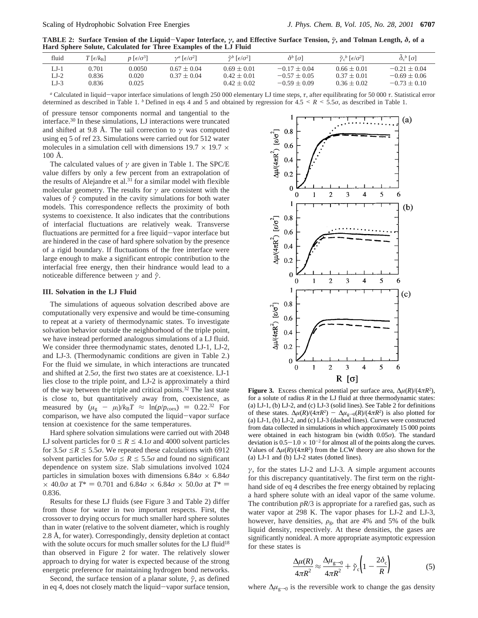**TABLE 2: Surface Tension of the Liquid**-**Vapor Interface,** *<sup>γ</sup>***, and Effective Surface Tension,** *<sup>γ</sup>*˜**, and Tolman Length,** *<sup>δ</sup>***, of a Hard Sphere Solute, Calculated for Three Examples of the LJ Fluid**

| fluid                    | $T\left[\epsilon/k_{\rm B}\right]$ | $p\left[\frac{\epsilon}{\sigma^3}\right]$ | $\gamma^a$ [ $\epsilon/\sigma^2$ ] | $\tilde{\gamma}^b$ [ $\epsilon/\sigma^2$ ]            | $\delta^b$ [σ]                                     | $\tilde{\gamma}_c{}^b$ [ $\epsilon/\sigma^2$ ]        | $\delta_c^b[\sigma]$                                   |
|--------------------------|------------------------------------|-------------------------------------------|------------------------------------|-------------------------------------------------------|----------------------------------------------------|-------------------------------------------------------|--------------------------------------------------------|
| LJ-1<br>$LI-2$<br>$LJ-3$ | 0.701<br>0.836<br>0.836            | 0.0050<br>0.020<br>0.025                  | $0.67 + 0.04$<br>$0.37 \pm 0.04$   | $0.69 \pm 0.01$<br>$0.42 \pm 0.01$<br>$0.42 \pm 0.02$ | $-0.17 + 0.04$<br>$-0.57 + 0.05$<br>$-0.59 + 0.09$ | $0.66 \pm 0.01$<br>$0.37 \pm 0.01$<br>$0.36 \pm 0.02$ | $-0.21 + 0.04$<br>$-0.69 \pm 0.06$<br>$-0.73 \pm 0.10$ |

*a* Calculated in liquid-vapor interface simulations of length 250 000 elementary LJ time steps, *τ*, after equilibrating for 50 000 *τ*. Statistical error termined as described in Table 1 *b* Defined in eqs 4 and 5 and determined as described in Table 1. *b* Defined in eqs 4 and 5 and obtained by regression for  $4.5 \le R \le 5.5\sigma$ , as described in Table 1.

of pressure tensor components normal and tangential to the interface.30 In these simulations, LJ interactions were truncated and shifted at 9.8 Å. The tail correction to *γ* was computed using eq 5 of ref 23. Simulations were carried out for 512 water molecules in a simulation cell with dimensions  $19.7 \times 19.7 \times$ 100 Å.

The calculated values of *γ* are given in Table 1. The SPC/E value differs by only a few percent from an extrapolation of the results of Alejandre et al. $3\overline{1}$  for a similar model with flexible molecular geometry. The results for  $\gamma$  are consistent with the values of *γ*˜ computed in the cavity simulations for both water models. This correspondence reflects the proximity of both systems to coexistence. It also indicates that the contributions of interfacial fluctuations are relatively weak. Transverse fluctuations are permitted for a free liquid-vapor interface but are hindered in the case of hard sphere solvation by the presence of a rigid boundary. If fluctuations of the free interface were large enough to make a significant entropic contribution to the interfacial free energy, then their hindrance would lead to a noticeable difference between *γ* and *γ*˜.

### **III. Solvation in the LJ Fluid**

The simulations of aqueous solvation described above are computationally very expensive and would be time-consuming to repeat at a variety of thermodynamic states. To investigate solvation behavior outside the neighborhood of the triple point, we have instead performed analogous simulations of a LJ fluid. We consider three thermodynamic states, denoted LJ-1, LJ-2, and LJ-3. (Thermodynamic conditions are given in Table 2.) For the fluid we simulate, in which interactions are truncated and shifted at 2.5*σ*, the first two states are at coexistence. LJ-1 lies close to the triple point, and LJ-2 is approximately a third of the way between the triple and critical points.<sup>32</sup> The last state is close to, but quantitatively away from, coexistence, as measured by  $(\mu_{g} - \mu_{l})/k_{B}T \approx \ln(p/p_{coex}) = 0.22.32$  For comparison, we have also computed the liquid-vapor surface tension at coexistence for the same temperatures.

Hard sphere solvation simulations were carried out with 2048 LJ solvent particles for  $0 \le R \le 4.1\sigma$  and 4000 solvent particles for  $3.5\sigma \le R \le 5.5\sigma$ . We repeated these calculations with 6912 solvent particles for  $5.0\sigma \le R \le 5.5\sigma$  and found no significant dependence on system size. Slab simulations involved 1024 particles in simulation boxes with dimensions  $6.84\sigma \times 6.84\sigma$  $\times$  40.0*σ* at *T*<sup>\*</sup> = 0.701 and 6.84*σ*  $\times$  6.84*σ*  $\times$  50.0*σ* at *T*<sup>\*</sup> = 0.836.

Results for these LJ fluids (see Figure 3 and Table 2) differ from those for water in two important respects. First, the crossover to drying occurs for much smaller hard sphere solutes than in water (relative to the solvent diameter, which is roughly 2.8 Å, for water). Correspondingly, density depletion at contact with the solute occurs for much smaller solutes for the LJ fluid<sup>18</sup> than observed in Figure 2 for water. The relatively slower approach to drying for water is expected because of the strong energetic preference for maintaining hydrogen bond networks.

Second, the surface tension of a planar solute,  $\tilde{\gamma}$ , as defined in eq 4, does not closely match the liquid-vapor surface tension,



**Figure 3.** Excess chemical potential per surface area,  $\Delta \mu(R)/(4\pi R^2)$ , for a solute of radius  $R$  in the LJ fluid at three thermodynamic states: (a) LJ-1, (b) LJ-2, and (c) LJ-3 (solid lines). See Table 2 for definitions of these states.  $\Delta \mu(R)/(4\pi R^2)$  −  $\Delta \mu_{g=0}(R)/(4\pi R^2)$  is also plotted for (a) L1-1. (b) L1-2 and (c) L1-3 (dashed lines). Curves were constructed (a) LJ-1, (b) LJ-2, and (c) LJ-3 (dashed lines). Curves were constructed from data collected in simulations in which approximately 15 000 points were obtained in each histogram bin (width 0.05*σ*). The standard deviation is  $0.5-1.0 \times 10^{-2}$  for almost all of the points along the curves. Values of  $\Delta \mu(R)/(4\pi R^2)$  from the LCW theory are also shown for the (a) LJ-1 and (b) LJ-2 states (dotted lines).

*γ*, for the states LJ-2 and LJ-3. A simple argument accounts for this discrepancy quantitatively. The first term on the righthand side of eq 4 describes the free energy obtained by replacing a hard sphere solute with an ideal vapor of the same volume. The contribution  $pR/3$  is appropriate for a rarefied gas, such as water vapor at 298 K. The vapor phases for LJ-2 and LJ-3, however, have densities,  $\rho_{\rm g}$ , that are 4% and 5% of the bulk liquid density, respectively. At these densities, the gases are significantly nonideal. A more appropriate asymptotic expression for these states is

$$
\frac{\Delta\mu(R)}{4\pi R^2} \approx \frac{\Delta\mu_{g\to 0}}{4\pi R^2} + \tilde{\gamma}_c \left(1 - \frac{2\delta_c}{R}\right) \tag{5}
$$

where  $\Delta \mu_{\varrho \to 0}$  is the reversible work to change the gas density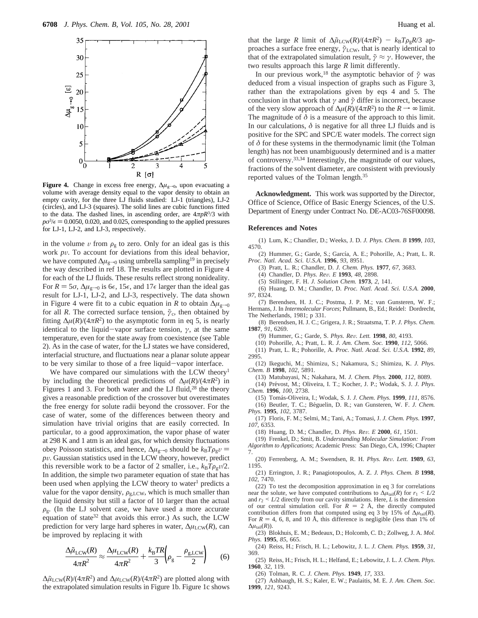

**Figure 4.** Change in excess free energy,  $\Delta \mu_{g\rightarrow 0}$ , upon evacuating a volume with average density equal to the vapor density to obtain an empty cavity, for the three LJ fluids studied: LJ-1 (triangles), LJ-2 (circles), and LJ-3 (squares). The solid lines are cubic functions fitted to the data. The dashed lines, in ascending order, are 4*πpR*3/3 with  $p\sigma^3$ / $\epsilon$  = 0.0050, 0.020, and 0.025, corresponding to the applied pressures for L<sub>1</sub>-1, L<sub>1</sub>-2, and L<sub>1</sub>-3, respectively for LJ-1, LJ-2, and LJ-3, respectively.

in the volume  $v$  from  $\rho_{\rm g}$  to zero. Only for an ideal gas is this work *pv*. To account for deviations from this ideal behavior, we have computed Δ $μ$ <sub>g</sub><sub>→0</sub> using umbrella sampling<sup>19</sup> in precisely the way described in ref 18. The results are plotted in Figure 4 for each of the LJ fluids. These results reflect strong nonideality. For  $R = 5\sigma$ ,  $\Delta \mu_{\rm g \to 0}$  is 6 $\epsilon$ , 15 $\epsilon$ , and 17 $\epsilon$  larger than the ideal gas result for LJ-1, LJ-2, and LJ-3, respectively. The data shown in Figure 4 were fit to a cubic equation in *R* to obtain  $\Delta \mu_{\rm g \to 0}$ for all *R*. The corrected surface tension,  $\tilde{\gamma}_c$ , then obtained by fitting  $\Delta \mu(R)/(4\pi R^2)$  to the asymptotic form in eq 5, is nearly identical to the liquid-vapor surface tension,  $\gamma$ , at the same temperature, even for the state away from coexistence (see Table 2). As in the case of water, for the LJ states we have considered, interfacial structure, and fluctuations near a planar solute appear to be very similar to those of a free liquid-vapor interface.

We have compared our simulations with the LCW theory<sup>1</sup> by including the theoretical predictions of  $\Delta \mu(R)/(4\pi R^2)$  in Figures 1 and 3. For both water and the LJ fluid, $28$  the theory gives a reasonable prediction of the crossover but overestimates the free energy for solute radii beyond the crossover. For the case of water, some of the differences between theory and simulation have trivial origins that are easily corrected. In particular, to a good approximation, the vapor phase of water at 298 K and 1 atm is an ideal gas, for which density fluctuations obey Poisson statistics, and hence,  $\Delta \mu_{g\to 0}$  should be  $k_B T \rho_g v =$ *<sup>p</sup>*V. Gaussian statistics used in the LCW theory, however, predict this reversible work to be a factor of 2 smaller, i.e.,  $k_B T \rho_g v/2$ . In addition, the simple two parameter equation of state that has been used when applying the LCW theory to water<sup>1</sup> predicts a value for the vapor density,  $\rho_{g,LCW}$ , which is much smaller than the liquid density but still a factor of 10 larger than the actual  $\rho_{\rm g}$ . (In the LJ solvent case, we have used a more accurate equation of state<sup>32</sup> that avoids this error.) As such, the LCW prediction for very large hard spheres in water,  $Δμ<sub>LCW</sub>(R)$ , can be improved by replacing it with

$$
\frac{\Delta\tilde{\mu}_{LCW}(R)}{4\pi R^2} \approx \frac{\Delta\mu_{LCW}(R)}{4\pi R^2} + \frac{k_BTR}{3} \left(\rho_g - \frac{\rho_{g,LCW}}{2}\right) \tag{6}
$$

 $\Delta \tilde{\mu}_{\text{LCW}}(R)/(4\pi R^2)$  and  $\Delta \mu_{\text{LCW}}(R)/(4\pi R^2)$  are plotted along with the extrapolated simulation results in Figure 1b. Figure 1c shows that the large *R* limit of  $\Delta \tilde{\mu}_{\text{LCW}}(R)/(4\pi R^2) - k_B T \rho_{\text{g}} R/3$  approaches a surface free energy,  $\tilde{\gamma}_{\text{LCW}}$ , that is nearly identical to that of the extrapolated simulation result,  $\tilde{\gamma} \approx \gamma$ . However, the two results approach this large *R* limit differently.

In our previous work,<sup>18</sup> the asymptotic behavior of  $\tilde{\gamma}$  was deduced from a visual inspection of graphs such as Figure 3, rather than the extrapolations given by eqs 4 and 5. The conclusion in that work that *γ* and *γ*˜ differ is incorrect, because of the very slow approach of  $\Delta \mu(R)/(4\pi R^2)$  to the  $R \rightarrow \infty$  limit. The magnitude of  $\delta$  is a measure of the approach to this limit. In our calculations,  $\delta$  is negative for all three LJ fluids and is positive for the SPC and SPC/E water models. The correct sign of *δ* for these systems in the thermodynamic limit (the Tolman length) has not been unambiguously determined and is a matter of controversy.33,34 Interestingly, the magnitude of our values, fractions of the solvent diameter, are consistent with previously reported values of the Tolman length.35

**Acknowledgment.** This work was supported by the Director, Office of Science, Office of Basic Energy Sciences, of the U.S. Department of Energy under Contract No. DE-AC03-76SF00098.

#### **References and Notes**

(1) Lum, K.; Chandler, D.; Weeks, J. D. *J. Phys. Chem. B* **1999**, *103*, 4570.

(2) Hummer, G.; Garde, S.; García, A. E.; Pohorille, A.; Pratt, L. R. *Proc. Natl. Acad. Sci. U.S.A.* **1996**, *93*, 8951.

(3) Pratt, L. R.; Chandler, D. *J. Chem. Phys.* **1977**, *67*, 3683.

(4) Chandler, D. *Phys. Re*V*. E* **<sup>1993</sup>**, *<sup>48</sup>*, 2898.

(5) Stillinger, F. H. *J. Solution Chem.* **1973**, *2*, 141.

(6) Huang, D. M.; Chandler, D. *Proc. Natl. Acad. Sci. U.S.A.* **2000**, *97*, 8324.

(7) Berendsen, H. J. C.; Postma, J. P. M.; van Gunsteren, W. F.; Hermans, J. In *Intermolecular Forces*; Pullmann, B., Ed.; Reidel: Dordrecht, The Netherlands, 1981; p 331.

(8) Berendsen, H. J. C.; Grigera, J. R.; Straatsma, T. P. *J. Phys. Chem.* **1987**, *91*, 6269.

(9) Hummer, G.; Garde, S. *Phys. Re*V*. Lett.* **<sup>1998</sup>**, *<sup>80</sup>*, 4193.

(10) Pohorille, A.; Pratt, L. R. *J. Am. Chem. Soc.* **1990**, *112*, 5066.

(11) Pratt, L. R.; Pohorille, A. *Proc. Natl. Acad. Sci. U.S.A.* **1992**, *89*, 2995.

(12) Ikeguchi, M.; Shimizu, S.; Nakamura, S.; Shimizu, K. *J. Phys. Chem. B* **1998**, *102*, 5891.

(13) Matubayasi, N.; Nakahara, M. *J. Chem. Phys.* **2000**, *112*, 8089.

(14) Pre´vost, M.; Oliveira, I. T.; Kocher, J. P.; Wodak, S. J. *J. Phys. Chem.* **1996**, *100*, 2738.

(15) Toma´s-Oliveira, I.; Wodak, S. J. *J. Chem. Phys.* **1999**, *111*, 8576. (16) Beutler, T. C.; Be´guelin, D. R.; van Gunsteren, W. F. *J. Chem. Phys.* **1995**, *102*, 3787.

(17) Floris, F. M.; Selmi, M.; Tani, A.; Tomasi, J. *J. Chem. Phys.* **1997**, *107*, 6353.

(18) Huang, D. M.; Chandler, D. *Phys. Re*V*. E* **<sup>2000</sup>**, *<sup>61</sup>*, 1501.

(19) Frenkel, D.; Smit, B. *Understanding Molecular Simulation: From Algorithm to Applications*; Academic Press: San Diego, CA, 1996; Chapter

7. (20) Ferrenberg, A. M.; Swendsen, R. H. *Phys. Re*V*. Lett.* **<sup>1989</sup>**, *<sup>63</sup>*, 1195.

(21) Errington, J. R.; Panagiotopoulos, A. Z. *J. Phys. Chem. B* **1998**, *102*, 7470.

(22) To test the decomposition approximation in eq 3 for correlations near the solute, we have computed contributions to  $\Delta \mu_{tail}(R)$  for  $r_1 \leq L/2$ and  $r_2 \leq L/2$  directly from our cavity simulations. Here, *L* is the dimension of our central simulation cell. For  $R = 2$  Å, the directly computed contribution differs from that computed using eq 3 by 15% of  $\Delta \mu_{\text{tail}}(R)$ . For  $R = 4$ , 6, 8, and 10 Å, this difference is negligible (less than 1% of  $\Delta \mu_{\text{tail}}(R)$ ).

(23) Blokhuis, E. M.; Bedeaux, D.; Holcomb, C. D.; Zollweg, J. A. *Mol. Phys.* **1995**, *85*, 665.

(24) Reiss, H.; Frisch, H. L.; Lebowitz, J. L. *J. Chem. Phys.* **1959**, *31*, 369.

(25) Reiss, H.; Frisch, H. L.; Helfand, E.; Lebowitz, J. L. *J. Chem. Phys.* **1960**, *32*, 119.

(26) Tolman, R. C. *J. Chem. Phys.* **1949**, *17*, 333.

(27) Ashbaugh, H. S.; Kaler, E. W.; Paulaitis, M. E. *J. Am. Chem. Soc.* **1999**, *121*, 9243.